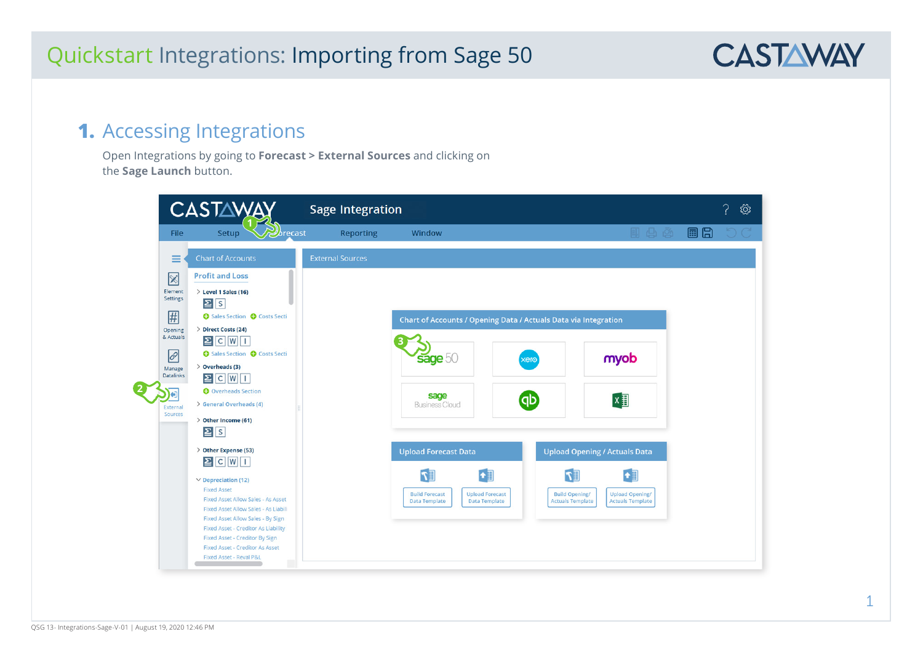#### **1.** Accessing Integrations

Open Integrations by going to **Forecast > External Sources** and clicking on the **Sage Launch** button.

|                                                                                         | <b>CASTAW</b>                                                                                                                                                                                                                                                                                                                                                                                     | <b>Sage Integration</b>                                                                                                                                                                                                                                                                                                      | ू<br>दुरे |
|-----------------------------------------------------------------------------------------|---------------------------------------------------------------------------------------------------------------------------------------------------------------------------------------------------------------------------------------------------------------------------------------------------------------------------------------------------------------------------------------------------|------------------------------------------------------------------------------------------------------------------------------------------------------------------------------------------------------------------------------------------------------------------------------------------------------------------------------|-----------|
| File                                                                                    | $\mathcal{D}_{\text{lecast}}$<br>Setup                                                                                                                                                                                                                                                                                                                                                            | 11 出 21<br><b>Reporting</b><br>Window                                                                                                                                                                                                                                                                                        | 目日        |
| $\equiv$                                                                                | <b>Chart of Accounts</b>                                                                                                                                                                                                                                                                                                                                                                          | <b>External Sources</b>                                                                                                                                                                                                                                                                                                      |           |
| $\boxtimes$<br>Element<br><b>Settings</b><br>用<br>Opening<br>& Actuals<br>$\mathscr{E}$ | <b>Profit and Loss</b><br>$\ge$ Level 1 Sales (16)<br>2s<br>Sales Section @ Costs Secti<br>> Direct Costs (24)<br>$\Xi$ C W I<br>Sales Section <b>O</b> Costs Secti                                                                                                                                                                                                                               | Chart of Accounts / Opening Data / Actuals Data via Integration<br>sage 50<br>myob<br>xero                                                                                                                                                                                                                                   |           |
| Manage<br><b>Datalinks</b><br>۱э<br>External<br>Sources                                 | $\geq$ Overheads (3)<br>$\Xi$ C W $\Box$<br>O Overheads Section<br>> General Overheads (4)<br>$\geq$ Other Income (61)<br>$\Sigma$ s                                                                                                                                                                                                                                                              | sage<br>$x \equiv$<br><b>GD</b><br><b>Business Cloud</b>                                                                                                                                                                                                                                                                     |           |
|                                                                                         | > Other Expense (53)<br>$\boxed{2}$ $\boxed{C}$ $\boxed{W}$ $\boxed{1}$<br>$\vee$ Depreciation (12)<br><b>Fixed Asset</b><br>Fixed Asset Allow Sales - As Asset<br>Fixed Asset Allow Sales - As Liabili<br>Fixed Asset Allow Sales - By Sign<br><b>Fixed Asset - Creditor As Liability</b><br>Fixed Asset - Creditor By Sign<br><b>Fixed Asset - Creditor As Asset</b><br>Fixed Asset - Reval P&L | <b>Upload Forecast Data</b><br><b>Upload Opening / Actuals Data</b><br>$\llbracket r \rrbracket$<br>$\mathbb{F}$<br><b>Build Forecast</b><br><b>Upload Forecast</b><br><b>Build Opening/</b><br><b>Upload Opening/</b><br><b>Actuals Template</b><br><b>Actuals Template</b><br><b>Data Template</b><br><b>Data Template</b> |           |

**CASTAWAY**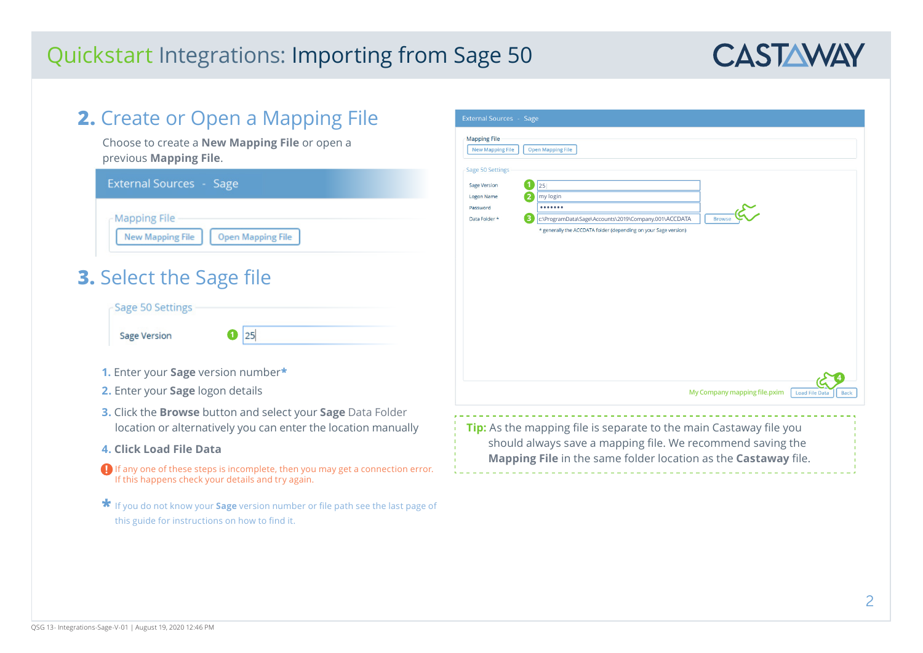

| 2. Create or Open a Mapping File                                                                                                                                                                                                                                                                     | <b>External Sources - Sage</b>                                                                                                                                                                                                                                    |  |  |  |
|------------------------------------------------------------------------------------------------------------------------------------------------------------------------------------------------------------------------------------------------------------------------------------------------------|-------------------------------------------------------------------------------------------------------------------------------------------------------------------------------------------------------------------------------------------------------------------|--|--|--|
| Choose to create a New Mapping File or open a<br>previous Mapping File.                                                                                                                                                                                                                              | <b>Mapping File</b><br><b>New Mapping File</b><br><b>Open Mapping File</b>                                                                                                                                                                                        |  |  |  |
| <b>External Sources - Sage</b><br><b>Mapping File</b><br><b>New Mapping File</b><br><b>Open Mapping File</b><br><b>3.</b> Select the Sage file<br>Sage 50 Settings                                                                                                                                   | Sage 50 Settings<br>$\boxed{1}$ 25<br><b>Sage Version</b><br>2<br>my login<br><b>Logon Name</b><br><br>Password<br>3<br>c:\ProgramData\Sage\Accounts\2019\Company.001\ACCDATA<br>Data Folder *<br>* generally the ACCDATA folder (depending on your Sage version) |  |  |  |
| $\bullet$ 25<br>Sage Version<br>1. Enter your Sage version number*<br>2. Enter your Sage logon details                                                                                                                                                                                               | My Company mapping file.pxim<br><b>Load File Data</b>                                                                                                                                                                                                             |  |  |  |
| 3. Click the Browse button and select your Sage Data Folder<br>location or alternatively you can enter the location manually<br>4. Click Load File Data<br>$\Box$ If any one of these steps is incomplete, then you may get a connection error.<br>If this happens check your details and try again. | Tip: As the mapping file is separate to the main Castaway file you<br>should always save a mapping file. We recommend saving the<br>Mapping File in the same folder location as the Castaway file.                                                                |  |  |  |
| <b>★</b> If you do not know your <b>Sage</b> version number or file path see the last page of<br>this guide for instructions on how to find it.                                                                                                                                                      |                                                                                                                                                                                                                                                                   |  |  |  |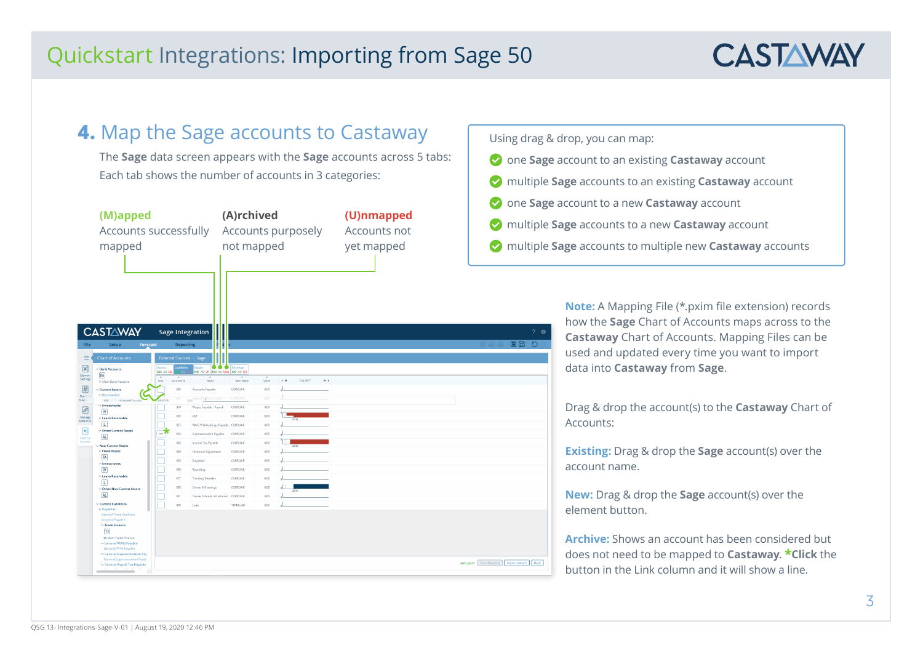

### **4.** Map the Sage accounts to Castaway

The **Sage** data screen appears with the **Sage** accounts across 5 tabs: Each tab shows the number of accounts in 3 categories:

| (M)apped<br>Accounts successfully<br>mapped                                                                                                                                                                          |                                              |                                                                                                                                                    | (A)rchived<br>not mapped |               | Accounts purposely                             | (U)nmapped<br>Accounts not<br>yet mapped | $\cdots$ $\cdots$ $\circ$ $\circ$<br>multiple S<br>multiple S |
|----------------------------------------------------------------------------------------------------------------------------------------------------------------------------------------------------------------------|----------------------------------------------|----------------------------------------------------------------------------------------------------------------------------------------------------|--------------------------|---------------|------------------------------------------------|------------------------------------------|---------------------------------------------------------------|
| <b>CASTAWAY</b><br>File<br>Setup<br><b>Chart of Accounts</b><br>≡<br>$\boxtimes$<br>$\vee$ Bank Accounts<br><b>BA</b><br>Element<br>Settings                                                                         | Forecast<br>Assets<br>MO AO US<br>Account Id | <b>Sage Integration</b><br><b>Reporting</b><br><b>External Sources - Sage</b><br><br>auitv<br>abilities<br>MO AD U1   MO AD UZ8   MO AD U3<br>Name | Revenue                  |               | Oct 2017<br>$\leftarrow$ 40<br>$\mathbf{B}$ .) |                                          | $?$ $@$<br>画圖<br>$\circ$<br>日 凸 @                             |
| T Main Bank Account<br>囲<br>Current Assets                                                                                                                                                                           | <b>Unk</b><br>800                            | Accounts Payable                                                                                                                                   | Type Name<br>CURRLIAB    | Value<br>0.00 |                                                |                                          |                                                               |
| $\vee$ Receivables<br>Open<br>8A <sub>1</sub><br>Santin<br>To Accounts Payabl                                                                                                                                        | $\overline{nn}$<br><b>IRR1 LAF</b>           | inpaid Expense Claim<br>0.00                                                                                                                       | <b>CURRLIAB</b>          | 0.00          |                                                |                                          |                                                               |
| $\times$ investments<br>$\odot$                                                                                                                                                                                      | 804                                          | Wages Payable - Payroll                                                                                                                            | <b>CURRLIAB</b>          | 0.00          |                                                |                                          |                                                               |
| $\overline{N}$<br>Manage<br>$\vee$ Loans Receivable                                                                                                                                                                  | 820                                          | GST                                                                                                                                                | CURRLIAB                 | 0.00          |                                                |                                          |                                                               |
| <b>Datalinks</b><br>同                                                                                                                                                                                                | 825                                          | PAYG Withholdings Payable CURRLIAB                                                                                                                 |                          | 0.00          |                                                |                                          |                                                               |
| $\blacksquare$<br>$\vee$ Other Current Assets<br>AL                                                                                                                                                                  | - 7<br>826                                   | <b>Superannuation Payable</b>                                                                                                                      | <b>CURRLIAB</b>          | 0.00          |                                                |                                          |                                                               |
| External<br>Sources<br>$\vee$ Non-Current Assets                                                                                                                                                                     | 830                                          | Income Tax Payable                                                                                                                                 | CURRLIAB                 | 0.00          |                                                |                                          |                                                               |
| $\vee$ Fixed Assets                                                                                                                                                                                                  | 840                                          | <b>Historical Adjustment</b>                                                                                                                       | <b>CURRLIAB</b>          | 0.00          |                                                |                                          |                                                               |
| FA<br>$\vee$ Investments                                                                                                                                                                                             | 850                                          | Suspense                                                                                                                                           | CURRLIAB                 | 0.00          |                                                |                                          |                                                               |
| W                                                                                                                                                                                                                    | 860                                          | Rounding                                                                                                                                           | CURRLIAB                 | 0.00          |                                                |                                          |                                                               |
| $\vee$ Loans Receivable                                                                                                                                                                                              | 877                                          | <b>Tracking Transfers</b>                                                                                                                          | <b>CURRLIAB</b>          | 0.00          |                                                |                                          |                                                               |
| TU.<br>$\vee$ Other Non-Current Assets                                                                                                                                                                               | 880                                          | Owner A Drawings                                                                                                                                   | CURRLIAB                 | 0.00          |                                                |                                          |                                                               |
| <b>AL</b>                                                                                                                                                                                                            | 881                                          | Owner A Funds Introduced CURRLIAB                                                                                                                  |                          | 0.00          |                                                |                                          |                                                               |
| $\vee$ Current Liabilities                                                                                                                                                                                           | 900                                          | Loan                                                                                                                                               | <b>TERMILIAB</b>         | 0.00          |                                                |                                          |                                                               |
| $\vee$ Payables<br><b>General Trade Creditors</b><br><b>Dividend Payable</b><br>$\vee$ Trade Finance<br>TF<br>M Main Trade Finance<br>▽ General PAYG Payable<br>General PAYG Payable<br>v General Superannuation Pay |                                              |                                                                                                                                                    |                          |               |                                                |                                          |                                                               |
| General Superannuation Payab<br>v General Payroll Tax Payable<br>THE R. P. LEWIS CO., LANSING.                                                                                                                       |                                              |                                                                                                                                                    |                          |               |                                                |                                          | xero.pxim Save Mapping   Import Values<br>Back                |

Using drag & drop, you can map:

- one **Sage** account to an existing **Castaway** account
- multiple **Sage** accounts to an existing **Castaway** account
- one **Sage** account to a new **Castaway** account
- **Sage** accounts to a new **Castaway** account
- **Sage** accounts to multiple new **Castaway** accounts

**Note:** A Mapping File (\*.pxim file extension) records how the **Sage** Chart of Accounts maps across to the **Castaway** Chart of Accounts. Mapping Files can be used and updated every time you want to import data into **Castaway** from **Sage**.

Drag & drop the account(s) to the **Castaway** Chart of Accounts:

**Existing:** Drag & drop the **Sage** account(s) over the account name.

**New:** Drag & drop the **Sage** account(s) over the element button.

**Archive:** Shows an account has been considered but does not need to be mapped to **Castaway**. **\*Click** the button in the Link column and it will show a line.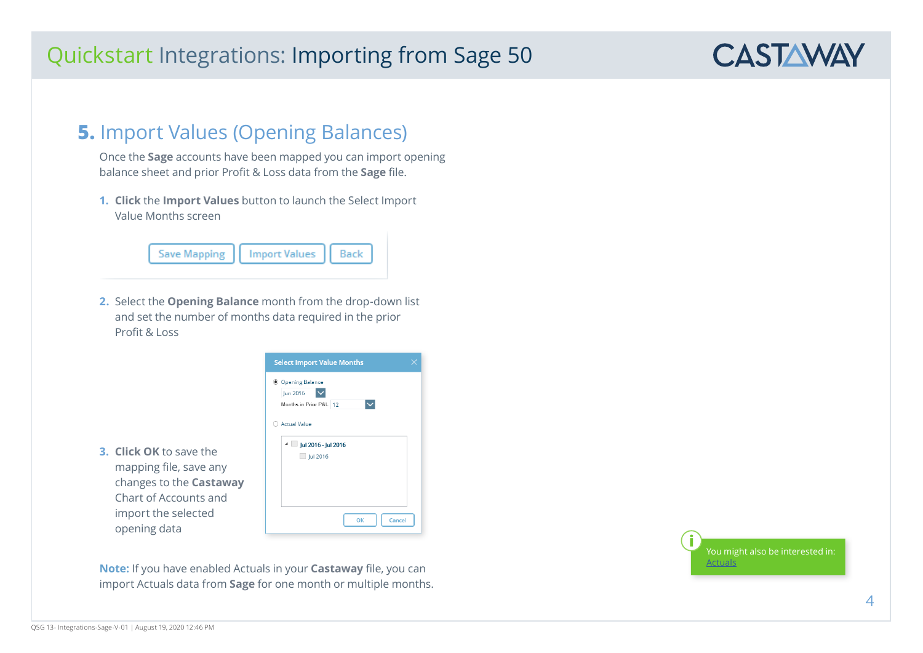#### **5.** Import Values (Opening Balances)

Once the **Sage** accounts have been mapped you can import opening balance sheet and prior Profit & Loss data from the **Sage** file.

**1. Click** the **Import Values** button to launch the Select Import Value Months screen



**2.** Select the **Opening Balance** month from the drop-down list and set the number of months data required in the prior Profit & Loss



**Note:** If you have enabled Actuals in your **Castaway** file, you can import Actuals data from **Sage** for one month or multiple months.



**CASTAWAY** 

**3. Click OK** to save the mapping file, save any

opening data

Chart of Accounts and import the selected